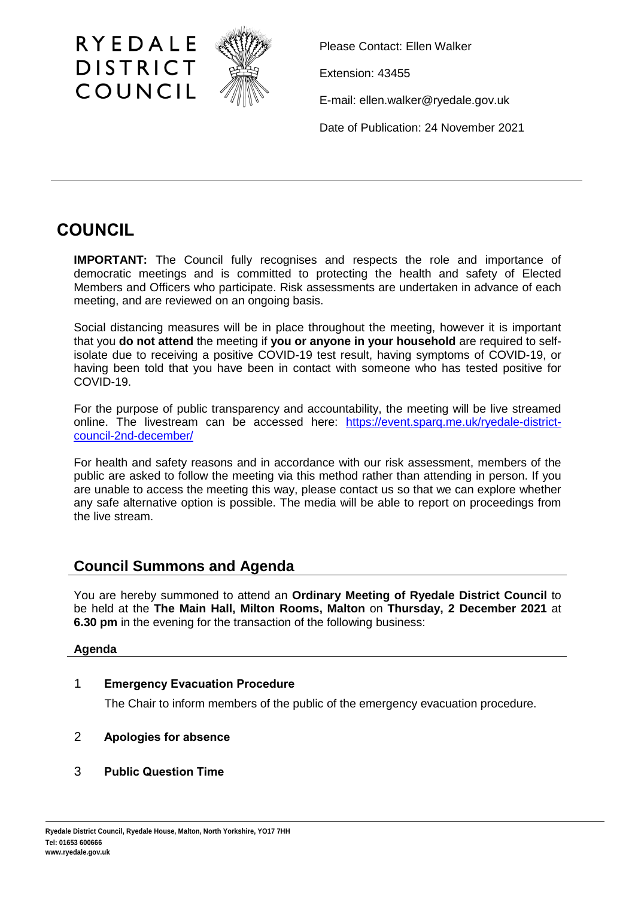

Please Contact: Ellen Walker

Extension: 43455

E-mail: ellen.walker@ryedale.gov.uk

Date of Publication: 24 November 2021

# **COUNCIL**

**IMPORTANT:** The Council fully recognises and respects the role and importance of democratic meetings and is committed to protecting the health and safety of Elected Members and Officers who participate. Risk assessments are undertaken in advance of each meeting, and are reviewed on an ongoing basis.

Social distancing measures will be in place throughout the meeting, however it is important that you **do not attend** the meeting if **you or anyone in your household** are required to selfisolate due to receiving a positive COVID-19 test result, having symptoms of COVID-19, or having been told that you have been in contact with someone who has tested positive for COVID-19.

For the purpose of public transparency and accountability, the meeting will be live streamed online. The livestream can be accessed here: [https://event.sparq.me.uk/ryedale-district](https://event.sparq.me.uk/ryedale-district-council-2nd-december/)[council-2nd-december/](https://event.sparq.me.uk/ryedale-district-council-2nd-december/)

For health and safety reasons and in accordance with our risk assessment, members of the public are asked to follow the meeting via this method rather than attending in person. If you are unable to access the meeting this way, please contact us so that we can explore whether any safe alternative option is possible. The media will be able to report on proceedings from the live stream.

## **Council Summons and Agenda**

You are hereby summoned to attend an **Ordinary Meeting of Ryedale District Council** to be held at the **The Main Hall, Milton Rooms, Malton** on **Thursday, 2 December 2021** at **6.30 pm** in the evening for the transaction of the following business:

## **Agenda**

## 1 **Emergency Evacuation Procedure**

The Chair to inform members of the public of the emergency evacuation procedure.

## 2 **Apologies for absence**

## 3 **Public Question Time**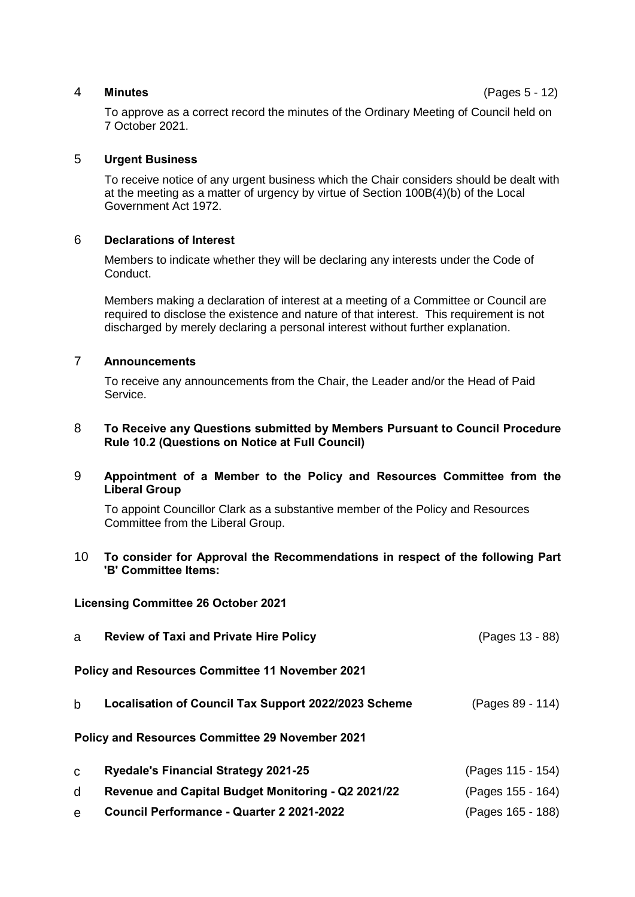### 4 **Minutes** (Pages 5 - 12)

To approve as a correct record the minutes of the Ordinary Meeting of Council held on 7 October 2021.

#### 5 **Urgent Business**

To receive notice of any urgent business which the Chair considers should be dealt with at the meeting as a matter of urgency by virtue of Section 100B(4)(b) of the Local Government Act 1972.

#### 6 **Declarations of Interest**

Members to indicate whether they will be declaring any interests under the Code of Conduct.

Members making a declaration of interest at a meeting of a Committee or Council are required to disclose the existence and nature of that interest. This requirement is not discharged by merely declaring a personal interest without further explanation.

#### 7 **Announcements**

To receive any announcements from the Chair, the Leader and/or the Head of Paid Service.

#### 8 **To Receive any Questions submitted by Members Pursuant to Council Procedure Rule 10.2 (Questions on Notice at Full Council)**

#### 9 **Appointment of a Member to the Policy and Resources Committee from the Liberal Group**

To appoint Councillor Clark as a substantive member of the Policy and Resources Committee from the Liberal Group.

#### 10 **To consider for Approval the Recommendations in respect of the following Part 'B' Committee Items:**

#### **Licensing Committee 26 October 2021**

| a           | <b>Review of Taxi and Private Hire Policy</b>          | (Pages 13 - 88)   |
|-------------|--------------------------------------------------------|-------------------|
|             | Policy and Resources Committee 11 November 2021        |                   |
| b           | Localisation of Council Tax Support 2022/2023 Scheme   | (Pages 89 - 114)  |
|             | <b>Policy and Resources Committee 29 November 2021</b> |                   |
| $\mathbf C$ | <b>Ryedale's Financial Strategy 2021-25</b>            | (Pages 115 - 154) |
| d           | Revenue and Capital Budget Monitoring - Q2 2021/22     | (Pages 155 - 164) |
|             |                                                        |                   |

e **Council Performance - Quarter 2 2021-2022** (Pages 165 - 188)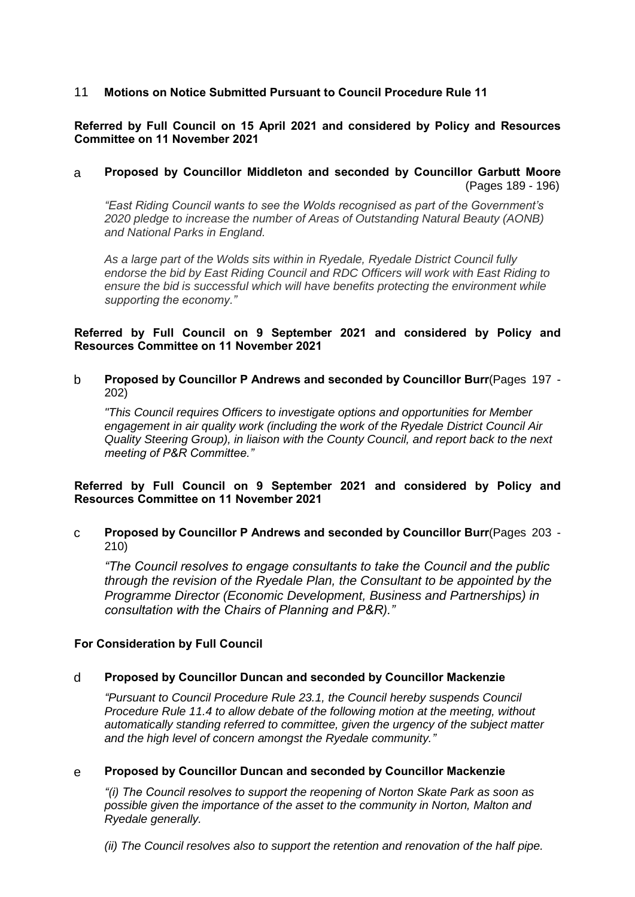## 11 **Motions on Notice Submitted Pursuant to Council Procedure Rule 11**

### **Referred by Full Council on 15 April 2021 and considered by Policy and Resources Committee on 11 November 2021**

## a **Proposed by Councillor Middleton and seconded by Councillor Garbutt Moore** (Pages 189 - 196)

*"East Riding Council wants to see the Wolds recognised as part of the Government's 2020 pledge to increase the number of Areas of Outstanding Natural Beauty (AONB) and National Parks in England.*

*As a large part of the Wolds sits within in Ryedale, Ryedale District Council fully endorse the bid by East Riding Council and RDC Officers will work with East Riding to ensure the bid is successful which will have benefits protecting the environment while supporting the economy."*

#### **Referred by Full Council on 9 September 2021 and considered by Policy and Resources Committee on 11 November 2021**

b **Proposed by Councillor P Andrews and seconded by Councillor Burr**(Pages 197 - 202)

*"This Council requires Officers to investigate options and opportunities for Member engagement in air quality work (including the work of the Ryedale District Council Air Quality Steering Group), in liaison with the County Council, and report back to the next meeting of P&R Committee."*

#### **Referred by Full Council on 9 September 2021 and considered by Policy and Resources Committee on 11 November 2021**

c **Proposed by Councillor P Andrews and seconded by Councillor Burr**(Pages 203 - 210)

*"The Council resolves to engage consultants to take the Council and the public through the revision of the Ryedale Plan, the Consultant to be appointed by the Programme Director (Economic Development, Business and Partnerships) in consultation with the Chairs of Planning and P&R)."*

#### **For Consideration by Full Council**

#### d **Proposed by Councillor Duncan and seconded by Councillor Mackenzie**

*"Pursuant to Council Procedure Rule 23.1, the Council hereby suspends Council Procedure Rule 11.4 to allow debate of the following motion at the meeting, without automatically standing referred to committee, given the urgency of the subject matter and the high level of concern amongst the Ryedale community."*

#### e **Proposed by Councillor Duncan and seconded by Councillor Mackenzie**

*"(i) The Council resolves to support the reopening of Norton Skate Park as soon as possible given the importance of the asset to the community in Norton, Malton and Ryedale generally.*

*(ii) The Council resolves also to support the retention and renovation of the half pipe.*